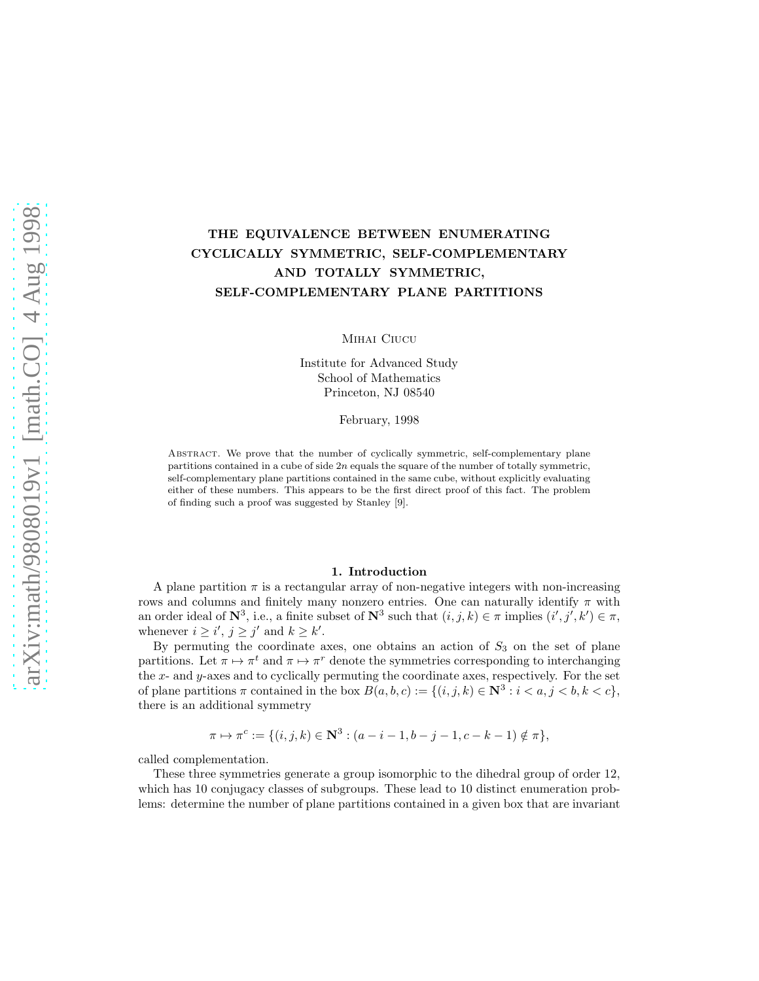## THE EQUIVALENCE BETWEEN ENUMERATING CYCLICALLY SYMMETRIC, SELF-COMPLEMENTARY AND TOTALLY SYMMETRIC, SELF-COMPLEMENTARY PLANE PARTITIONS

Mihai Ciucu

Institute for Advanced Study School of Mathematics Princeton, NJ 08540

February, 1998

Abstract. We prove that the number of cyclically symmetric, self-complementary plane partitions contained in a cube of side  $2n$  equals the square of the number of totally symmetric, self-complementary plane partitions contained in the same cube, without explicitly evaluating either of these numbers. This appears to be the first direct proof of this fact. The problem of finding such a proof was suggested by Stanley [9].

## 1. Introduction

A plane partition  $\pi$  is a rectangular array of non-negative integers with non-increasing rows and columns and finitely many nonzero entries. One can naturally identify  $\pi$  with an order ideal of  $\mathbb{N}^3$ , i.e., a finite subset of  $\mathbb{N}^3$  such that  $(i, j, k) \in \pi$  implies  $(i', j', k') \in \pi$ , whenever  $i \geq i'$ ,  $j \geq j'$  and  $k \geq k'$ .

By permuting the coordinate axes, one obtains an action of  $S_3$  on the set of plane partitions. Let  $\pi \mapsto \pi^t$  and  $\pi \mapsto \pi^r$  denote the symmetries corresponding to interchanging the x- and  $y$ -axes and to cyclically permuting the coordinate axes, respectively. For the set of plane partitions  $\pi$  contained in the box  $B(a, b, c) := \{(i, j, k) \in \mathbb{N}^3 : i < a, j < b, k < c\},\$ there is an additional symmetry

$$
\pi \mapsto \pi^c := \{ (i, j, k) \in \mathbb{N}^3 : (a - i - 1, b - j - 1, c - k - 1) \notin \pi \},\
$$

called complementation.

These three symmetries generate a group isomorphic to the dihedral group of order 12, which has 10 conjugacy classes of subgroups. These lead to 10 distinct enumeration problems: determine the number of plane partitions contained in a given box that are invariant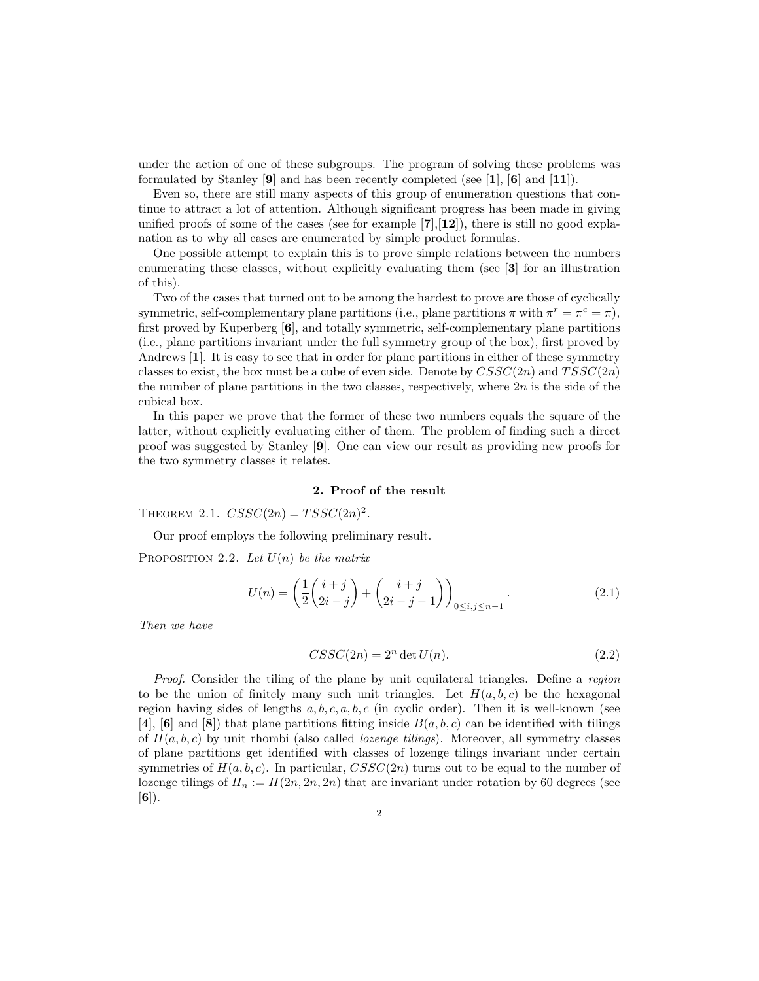under the action of one of these subgroups. The program of solving these problems was formulated by Stanley [9] and has been recently completed (see [1], [6] and [11]).

Even so, there are still many aspects of this group of enumeration questions that continue to attract a lot of attention. Although significant progress has been made in giving unified proofs of some of the cases (see for example  $[7],[12]$ ), there is still no good explanation as to why all cases are enumerated by simple product formulas.

One possible attempt to explain this is to prove simple relations between the numbers enumerating these classes, without explicitly evaluating them (see [3] for an illustration of this).

Two of the cases that turned out to be among the hardest to prove are those of cyclically symmetric, self-complementary plane partitions (i.e., plane partitions  $\pi$  with  $\pi^r = \pi^c = \pi$ ), first proved by Kuperberg [6], and totally symmetric, self-complementary plane partitions (i.e., plane partitions invariant under the full symmetry group of the box), first proved by Andrews [1]. It is easy to see that in order for plane partitions in either of these symmetry classes to exist, the box must be a cube of even side. Denote by  $CSSC(2n)$  and  $TSSC(2n)$ the number of plane partitions in the two classes, respectively, where  $2n$  is the side of the cubical box.

In this paper we prove that the former of these two numbers equals the square of the latter, without explicitly evaluating either of them. The problem of finding such a direct proof was suggested by Stanley [9]. One can view our result as providing new proofs for the two symmetry classes it relates.

## 2. Proof of the result

THEOREM 2.1.  $CSSC(2n) = TSSC(2n)^2$ .

Our proof employs the following preliminary result.

PROPOSITION 2.2. Let  $U(n)$  be the matrix

$$
U(n) = \left(\frac{1}{2}\binom{i+j}{2i-j} + \binom{i+j}{2i-j-1}\right)_{0 \le i,j \le n-1}.
$$
\n(2.1)

Then we have

$$
CSSC(2n) = 2n det U(n).
$$
\n(2.2)

Proof. Consider the tiling of the plane by unit equilateral triangles. Define a region to be the union of finitely many such unit triangles. Let  $H(a, b, c)$  be the hexagonal region having sides of lengths  $a, b, c, a, b, c$  (in cyclic order). Then it is well-known (see [4], [6] and [8]) that plane partitions fitting inside  $B(a, b, c)$  can be identified with tilings of  $H(a, b, c)$  by unit rhombi (also called *lozenge tilings*). Moreover, all symmetry classes of plane partitions get identified with classes of lozenge tilings invariant under certain symmetries of  $H(a, b, c)$ . In particular,  $CSSC(2n)$  turns out to be equal to the number of lozenge tilings of  $H_n := H(2n, 2n, 2n)$  that are invariant under rotation by 60 degrees (see  $[6]$ .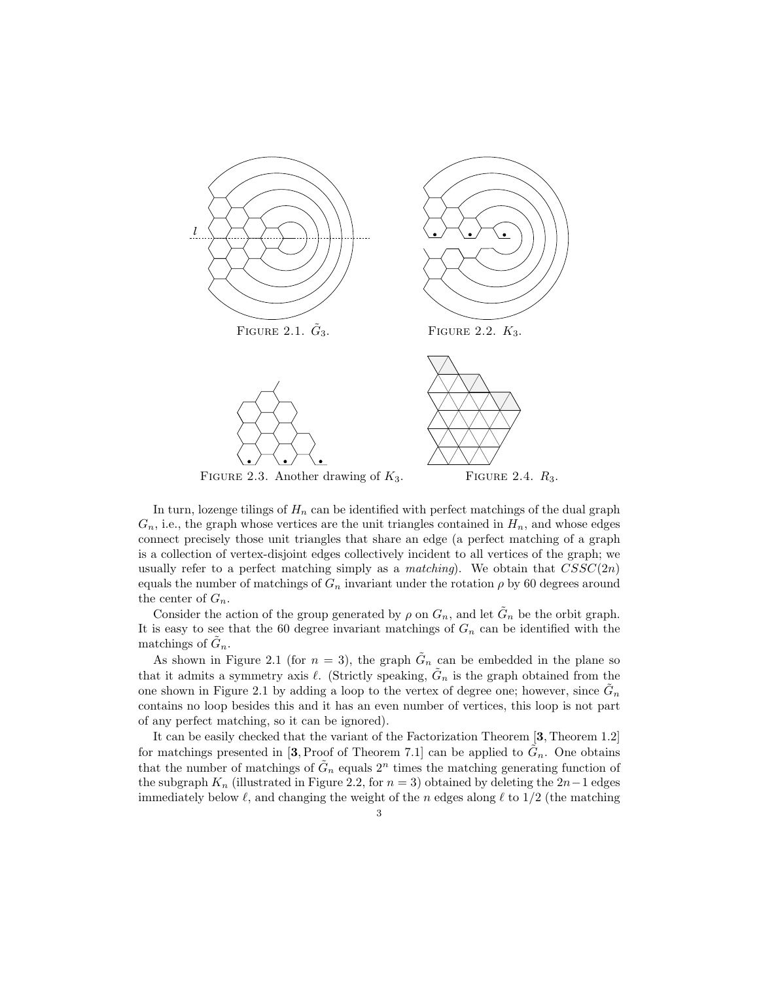

In turn, lozenge tilings of  $H_n$  can be identified with perfect matchings of the dual graph  $G_n$ , i.e., the graph whose vertices are the unit triangles contained in  $H_n$ , and whose edges connect precisely those unit triangles that share an edge (a perfect matching of a graph is a collection of vertex-disjoint edges collectively incident to all vertices of the graph; we usually refer to a perfect matching simply as a *matching*). We obtain that  $CSSC(2n)$ equals the number of matchings of  $G_n$  invariant under the rotation  $\rho$  by 60 degrees around the center of  $G_n$ .

Consider the action of the group generated by  $\rho$  on  $G_n$ , and let  $\tilde{G}_n$  be the orbit graph. It is easy to see that the 60 degree invariant matchings of  $G_n$  can be identified with the matchings of  $\tilde{G}_n$ .

As shown in Figure 2.1 (for  $n = 3$ ), the graph  $\tilde{G}_n$  can be embedded in the plane so that it admits a symmetry axis  $\ell$ . (Strictly speaking,  $\tilde{G}_n$  is the graph obtained from the one shown in Figure 2.1 by adding a loop to the vertex of degree one; however, since  $\tilde{G}_n$ contains no loop besides this and it has an even number of vertices, this loop is not part of any perfect matching, so it can be ignored).

It can be easily checked that the variant of the Factorization Theorem [3, Theorem 1.2] for matchings presented in [3, Proof of Theorem 7.1] can be applied to  $\tilde{G}_n$ . One obtains that the number of matchings of  $\tilde{G}_n$  equals  $2^n$  times the matching generating function of the subgraph  $K_n$  (illustrated in Figure 2.2, for  $n = 3$ ) obtained by deleting the 2n-1 edges immediately below  $\ell$ , and changing the weight of the n edges along  $\ell$  to  $1/2$  (the matching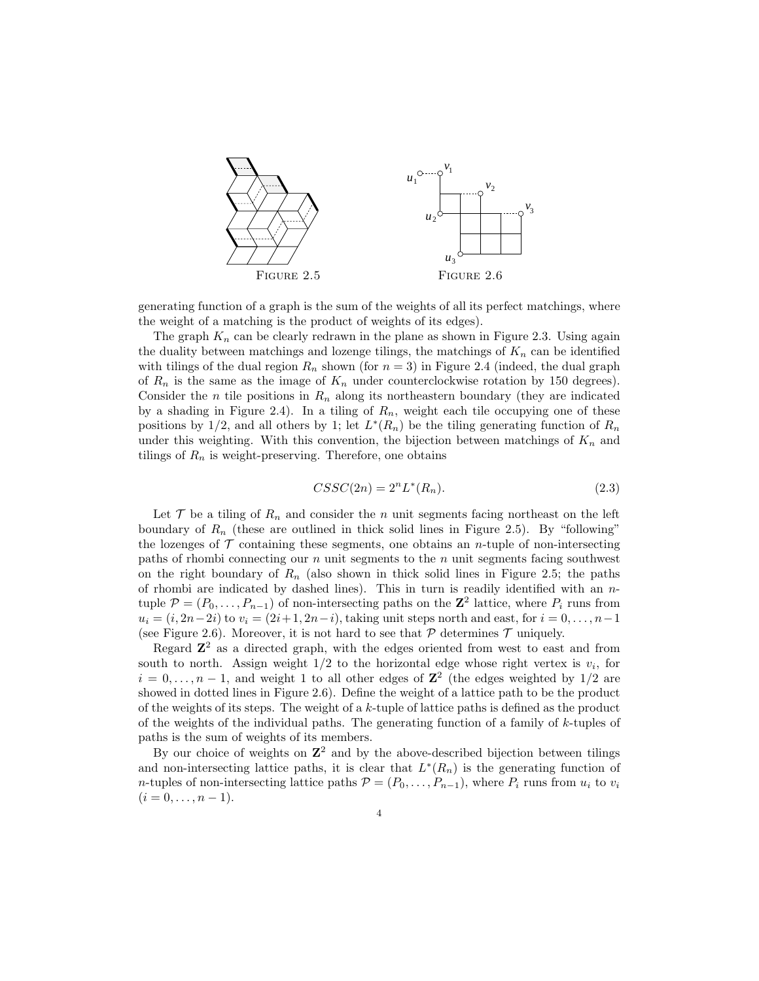

generating function of a graph is the sum of the weights of all its perfect matchings, where the weight of a matching is the product of weights of its edges).

The graph  $K_n$  can be clearly redrawn in the plane as shown in Figure 2.3. Using again the duality between matchings and lozenge tilings, the matchings of  $K_n$  can be identified with tilings of the dual region  $R_n$  shown (for  $n = 3$ ) in Figure 2.4 (indeed, the dual graph of  $R_n$  is the same as the image of  $K_n$  under counterclockwise rotation by 150 degrees). Consider the n tile positions in  $R_n$  along its northeastern boundary (they are indicated by a shading in Figure 2.4). In a tiling of  $R_n$ , weight each tile occupying one of these positions by 1/2, and all others by 1; let  $L^*(R_n)$  be the tiling generating function of  $R_n$ under this weighting. With this convention, the bijection between matchings of  $K_n$  and tilings of  $R_n$  is weight-preserving. Therefore, one obtains

$$
CSSC(2n) = 2nL*(Rn).
$$
\n(2.3)

Let  $\mathcal T$  be a tiling of  $R_n$  and consider the n unit segments facing northeast on the left boundary of  $R_n$  (these are outlined in thick solid lines in Figure 2.5). By "following" the lozenges of  $\mathcal T$  containing these segments, one obtains an *n*-tuple of non-intersecting paths of rhombi connecting our  $n$  unit segments to the  $n$  unit segments facing southwest on the right boundary of  $R_n$  (also shown in thick solid lines in Figure 2.5; the paths of rhombi are indicated by dashed lines). This in turn is readily identified with an  $n$ tuple  $\mathcal{P} = (P_0, \ldots, P_{n-1})$  of non-intersecting paths on the  $\mathbb{Z}^2$  lattice, where  $P_i$  runs from  $u_i = (i, 2n-2i)$  to  $v_i = (2i+1, 2n-i)$ , taking unit steps north and east, for  $i = 0, \ldots, n-1$ (see Figure 2.6). Moreover, it is not hard to see that  $P$  determines  $T$  uniquely.

Regard  $\mathbb{Z}^2$  as a directed graph, with the edges oriented from west to east and from south to north. Assign weight  $1/2$  to the horizontal edge whose right vertex is  $v_i$ , for  $i = 0, \ldots, n-1$ , and weight 1 to all other edges of  $\mathbb{Z}^2$  (the edges weighted by 1/2 are showed in dotted lines in Figure 2.6). Define the weight of a lattice path to be the product of the weights of its steps. The weight of a  $k$ -tuple of lattice paths is defined as the product of the weights of the individual paths. The generating function of a family of k-tuples of paths is the sum of weights of its members.

By our choice of weights on  $\mathbb{Z}^2$  and by the above-described bijection between tilings and non-intersecting lattice paths, it is clear that  $L^*(R_n)$  is the generating function of *n*-tuples of non-intersecting lattice paths  $\mathcal{P} = (P_0, \ldots, P_{n-1})$ , where  $P_i$  runs from  $u_i$  to  $v_i$  $(i = 0, \ldots, n - 1).$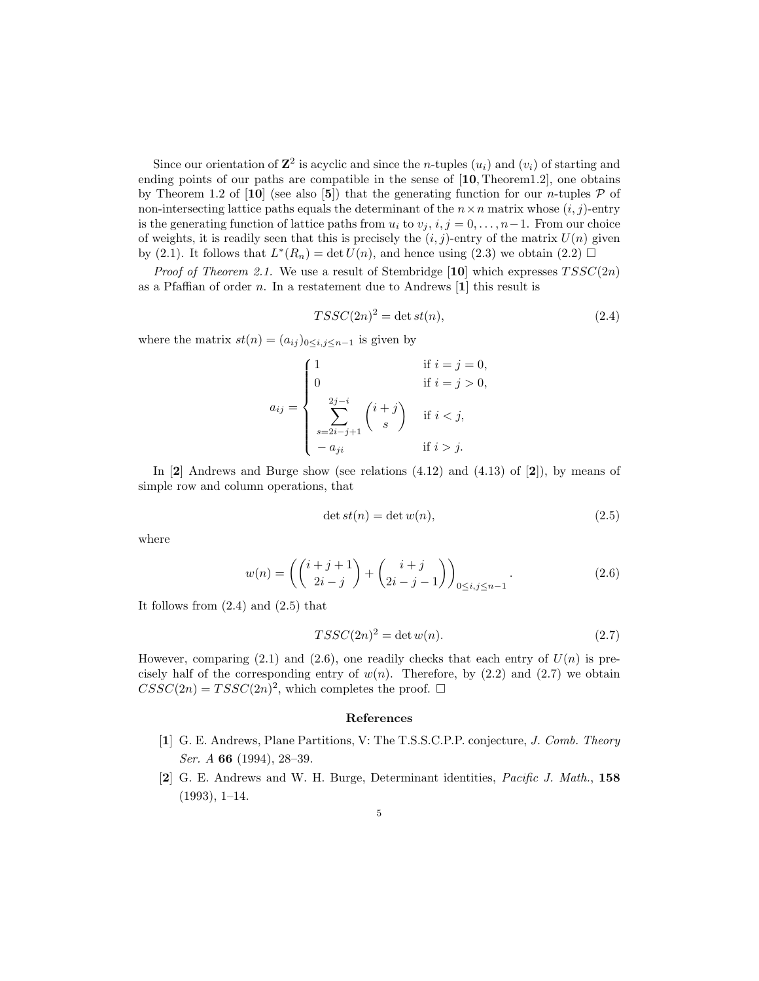Since our orientation of  $\mathbb{Z}^2$  is acyclic and since the *n*-tuples  $(u_i)$  and  $(v_i)$  of starting and ending points of our paths are compatible in the sense of [10, Theorem1.2], one obtains by Theorem 1.2 of [10] (see also [5]) that the generating function for our *n*-tuples  $P$  of non-intersecting lattice paths equals the determinant of the  $n \times n$  matrix whose  $(i, j)$ -entry is the generating function of lattice paths from  $u_i$  to  $v_j$ ,  $i, j = 0, \ldots, n-1$ . From our choice of weights, it is readily seen that this is precisely the  $(i, j)$ -entry of the matrix  $U(n)$  given by (2.1). It follows that  $L^*(R_n) = \det U(n)$ , and hence using (2.3) we obtain (2.2)  $\Box$ 

*Proof of Theorem 2.1.* We use a result of Stembridge [10] which expresses  $TSSC(2n)$ as a Pfaffian of order  $n$ . In a restatement due to Andrews [1] this result is

$$
TSSC(2n)^2 = \det st(n),\tag{2.4}
$$

where the matrix  $st(n) = (a_{ij})_{0 \le i,j \le n-1}$  is given by

$$
a_{ij} = \begin{cases} 1 & \text{if } i = j = 0, \\ 0 & \text{if } i = j > 0, \\ \sum_{s=2i-j+1}^{2j-i} {i+j \choose s} & \text{if } i < j, \\ -a_{ji} & \text{if } i > j. \end{cases}
$$

In  $[2]$  Andrews and Burge show (see relations  $(4.12)$  and  $(4.13)$  of  $[2]$ ), by means of simple row and column operations, that

$$
\det st(n) = \det w(n),\tag{2.5}
$$

where

$$
w(n) = \left( \binom{i+j+1}{2i-j} + \binom{i+j}{2i-j-1} \right)_{0 \le i,j \le n-1}.
$$
 (2.6)

It follows from  $(2.4)$  and  $(2.5)$  that

$$
TSSC(2n)^2 = \det w(n). \tag{2.7}
$$

However, comparing (2.1) and (2.6), one readily checks that each entry of  $U(n)$  is precisely half of the corresponding entry of  $w(n)$ . Therefore, by  $(2.2)$  and  $(2.7)$  we obtain  $CSSC(2n) = TSSC(2n)^2$ , which completes the proof.  $\square$ 

## References

- [1] G. E. Andrews, Plane Partitions, V: The T.S.S.C.P.P. conjecture, J. Comb. Theory Ser. A 66 (1994), 28–39.
- [2] G. E. Andrews and W. H. Burge, Determinant identities, Pacific J. Math., 158 (1993), 1–14.